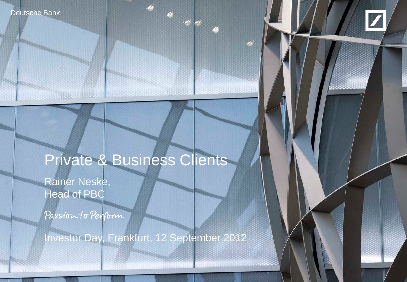Deutsche Bank



# Private & Business Clients

Rainer Neske, Head of PBC

**March 1984** - 1984

Passion to Perform

Investor Day, Frankfurt, 12 September 2012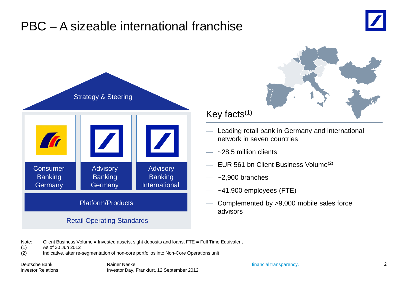## PBC – A sizeable international franchise





### Retail Operating Standards

### Key facts $(1)$

- Leading retail bank in Germany and international network in seven countries
- $\approx$  28.5 million clients
- EUR 561 bn Client Business Volume<sup> $(2)$ </sup>
- $\sim$ 2,900 branches
- $~1.900$  employees (FTE)
- Complemented by >9,000 mobile sales force advisors

Note: Client Business Volume = Invested assets, sight deposits and loans, FTE = Full Time Equivalent

(1) As of 30 Jun 2012

(2) Indicative, after re-segmentation of non-core portfolios into Non-Core Operations unit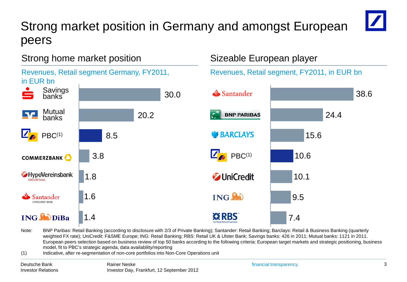## Strong market position in Germany and amongst European peers



38.6

### Strong home market position



#### Note: BNP Paribas: Retail Banking (according to disclosure with 2/3 of Private Banking); Santander: Retail Banking; Barclays: Retail & Business Banking (quarterly weighted FX rate); UniCredit: F&SME Europe; ING: Retail Banking; RBS: Retail UK & Ulster Bank; Savings banks: 426 in 2011; Mutual banks: 1121 in 2011. European peers selection based on business review of top 50 banks according to the following criteria: European target markets and strategic positioning, business model, fit to PBC's strategic agenda, data availability/reporting

(1) Indicative, after re-segmentation of non-core portfolios into Non-Core Operations unit

Sizeable European player

15.6

24.4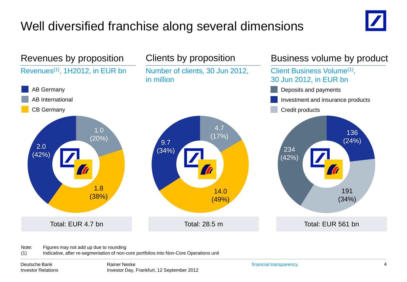## Well diversified franchise along several dimensions





Note: Figures may not add up due to rounding

(1) Indicative, after re-segmentation of non-core portfolios into Non-Core Operations unit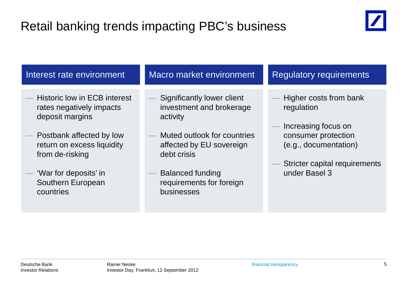## Retail banking trends impacting PBC's business



| Interest rate environment                                                                                                                                                                                                  | Macro market environment                                                                                                                                                                                          | <b>Regulatory requirements</b>                                                                                                                                |
|----------------------------------------------------------------------------------------------------------------------------------------------------------------------------------------------------------------------------|-------------------------------------------------------------------------------------------------------------------------------------------------------------------------------------------------------------------|---------------------------------------------------------------------------------------------------------------------------------------------------------------|
| <b>Historic low in ECB interest</b><br>rates negatively impacts<br>deposit margins<br>Postbank affected by low<br>return on excess liquidity<br>from de-risking<br>'War for deposits' in<br>Southern European<br>countries | Significantly lower client<br>investment and brokerage<br>activity<br>Muted outlook for countries<br>affected by EU sovereign<br>debt crisis<br><b>Balanced funding</b><br>requirements for foreign<br>businesses | Higher costs from bank<br>regulation<br>Increasing focus on<br>consumer protection<br>(e.g., documentation)<br>Stricter capital requirements<br>under Basel 3 |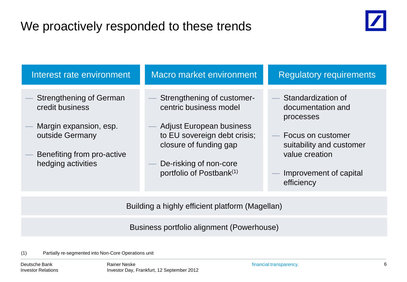## We proactively responded to these trends



| Interest rate environment                                                                                                                          | <b>Macro market environment</b>                                                                                                                                                                                     | <b>Regulatory requirements</b>                                                                                                                                    |
|----------------------------------------------------------------------------------------------------------------------------------------------------|---------------------------------------------------------------------------------------------------------------------------------------------------------------------------------------------------------------------|-------------------------------------------------------------------------------------------------------------------------------------------------------------------|
| <b>Strengthening of German</b><br>credit business<br>Margin expansion, esp.<br>outside Germany<br>Benefiting from pro-active<br>hedging activities | Strengthening of customer-<br>centric business model<br><b>Adjust European business</b><br>to EU sovereign debt crisis;<br>closure of funding gap<br>De-risking of non-core<br>portfolio of Postbank <sup>(1)</sup> | Standardization of<br>documentation and<br>processes<br>- Focus on customer<br>suitability and customer<br>value creation<br>Improvement of capital<br>efficiency |
|                                                                                                                                                    | Building a highly efficient platform (Magellan)                                                                                                                                                                     |                                                                                                                                                                   |
|                                                                                                                                                    | Business portfolio alignment (Powerhouse)                                                                                                                                                                           |                                                                                                                                                                   |

(1) Partially re-segmented into Non-Core Operations unit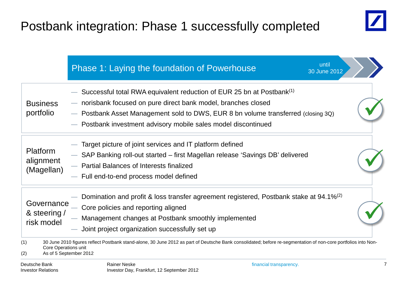## Postbank integration: Phase 1 successfully completed



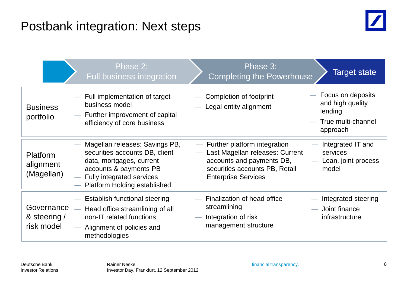## Postbank integration: Next steps



|                                          | Phase 2:<br><b>Full business integration</b>                                                                                                                                                 | Phase 3:<br><b>Completing the Powerhouse</b>                                                                                                                   | Target state                                                                           |
|------------------------------------------|----------------------------------------------------------------------------------------------------------------------------------------------------------------------------------------------|----------------------------------------------------------------------------------------------------------------------------------------------------------------|----------------------------------------------------------------------------------------|
| <b>Business</b><br>portfolio             | - Full implementation of target<br>business model<br>- Further improvement of capital<br>efficiency of core business                                                                         | Completion of footprint<br>Legal entity alignment                                                                                                              | - Focus on deposits<br>and high quality<br>lending<br>- True multi-channel<br>approach |
| Platform<br>alignment<br>(Magellan)      | Magellan releases: Savings PB,<br>securities accounts DB, client<br>data, mortgages, current<br>accounts & payments PB<br>- Fully integrated services<br><b>Platform Holding established</b> | - Further platform integration<br>Last Magellan releases: Current<br>accounts and payments DB,<br>securities accounts PB, Retail<br><b>Enterprise Services</b> | Integrated IT and<br>services<br>Lean, joint process<br>model                          |
| Governance<br>& steering /<br>risk model | Establish functional steering<br>$\overline{\phantom{0}}$<br>Head office streamlining of all<br>non-IT related functions<br>- Alignment of policies and<br>methodologies                     | Finalization of head office<br>streamlining<br>Integration of risk<br>management structure                                                                     | Integrated steering<br>Joint finance<br>infrastructure                                 |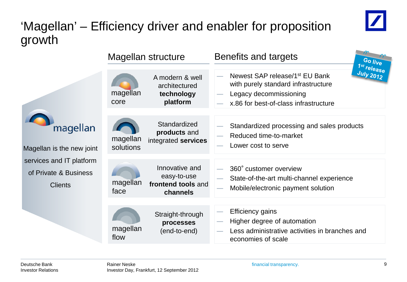## 'Magellan' – Efficiency driver and enabler for proposition growth



|                                                                     |                       | Magellan structure                                              | Benefits and targets                                                                                                                                 | Go live                         |
|---------------------------------------------------------------------|-----------------------|-----------------------------------------------------------------|------------------------------------------------------------------------------------------------------------------------------------------------------|---------------------------------|
|                                                                     | magellan<br>core      | A modern & well<br>architectured<br>technology<br>platform      | Newest SAP release/1 <sup>st</sup> EU Bank<br>with purely standard infrastructure<br>Legacy decommissioning<br>x.86 for best-of-class infrastructure | 1st release<br><b>July 2012</b> |
| magellan<br>Magellan is the new joint                               | magellan<br>solutions | Standardized<br>products and<br>integrated services             | Standardized processing and sales products<br>Reduced time-to-market<br>Lower cost to serve                                                          |                                 |
| services and IT platform<br>of Private & Business<br><b>Clients</b> | magellan<br>face      | Innovative and<br>easy-to-use<br>frontend tools and<br>channels | 360° customer overview<br>State-of-the-art multi-channel experience<br>Mobile/electronic payment solution                                            |                                 |
|                                                                     | magellan<br>flow      | Straight-through<br>processes<br>(end-to-end)                   | <b>Efficiency gains</b><br>Higher degree of automation<br>Less administrative activities in branches and<br>economies of scale                       |                                 |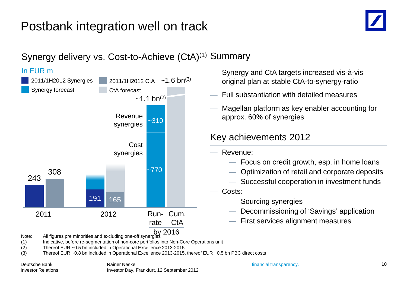## Postbank integration well on track



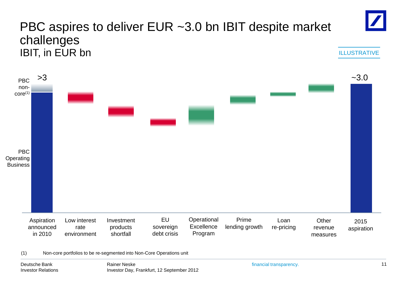

(1) Non-core portfolios to be re-segmented into Non-Core Operations unit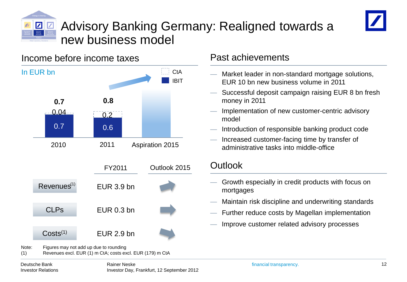

## Advisory Banking Germany: Realigned towards a new business model



### Income before income taxes



(1) Revenues excl. EUR (1) m CtA; costs excl. EUR (179) m CtA

### Past achievements

- Market leader in non-standard mortgage solutions, EUR 10 bn new business volume in 2011
- Successful deposit campaign raising EUR 8 bn fresh money in 2011
- Implementation of new customer-centric advisory model
- Introduction of responsible banking product code
- Increased customer-facing time by transfer of administrative tasks into middle-office

### **Outlook**

- Growth especially in credit products with focus on mortgages
- Maintain risk discipline and underwriting standards
- Further reduce costs by Magellan implementation
- Improve customer related advisory processes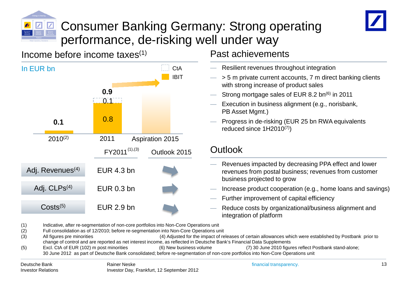

## Consumer Banking Germany: Strong operating performance, de-risking well under way

### Income before income taxes $(1)$



### Past achievements

- Resilient revenues throughout integration
- > 5 m private current accounts, 7 m direct banking clients with strong increase of product sales
- Strong mortgage sales of EUR 8.2 bn<sup>(6)</sup> in 2011
- Execution in business alignment (e.g., norisbank, PB Asset Mgmt.)
- Progress in de-risking (EUR 25 bn RWA equivalents reduced since 1H2010(7))

### **Outlook**

- Revenues impacted by decreasing PPA effect and lower revenues from postal business; revenues from customer business projected to grow
- Increase product cooperation (e.g., home loans and savings)
- Further improvement of capital efficiency
- Reduce costs by organizational/business alignment and integration of platform

(1) Indicative, after re-segmentation of non-core portfolios into Non-Core Operations unit

- (2) Full consolidation as of 12/2010; before re-segmentation into Non-Core Operations unit
- (3) All figures pre minorities (4) Adjusted for the impact of releases of certain allowances which were established by Postbank prior to change of control and are reported as net interest income, as reflected in Deutsche Bank's Financial Data Supplements<br>Excl. CtA of EUR (102) m post minorities (6) New business volume (7) 30 June 2010 figure (5) Excl. CtA of EUR (102) m post minorities (6) New business volume (7) 30 June 2010 figures reflect Postbank stand-alone;
	- 30 June 2012 as part of Deutsche Bank consolidated; before re-segmentation of non-core portfolios into Non-Core Operations unit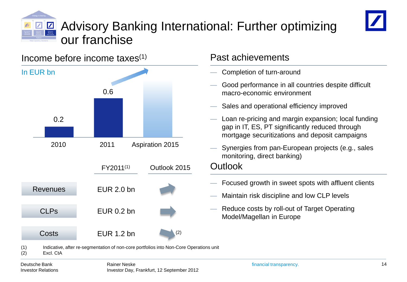



#### FY2011(1) 2010 2011 Aspiration 2015 0.2 0.6 CLPs EUR 0.2 bn Costs EUR 1.2 bn Revenues EUR 2.0 bn Completion of turn-around — Good performance in all countries despite difficult macro-economic environment Sales and operational efficiency improved — Loan re-pricing and margin expansion; local funding gap in IT, ES, PT significantly reduced through mortgage securitizations and deposit campaigns Synergies from pan-European projects (e.g., sales monitoring, direct banking) Income before income taxes $(1)$ In EUR bn Past achievements — Focused growth in sweet spots with affluent clients — Maintain risk discipline and low CLP levels — Reduce costs by roll-out of Target Operating Model/Magellan in Europe **Outlook** (1) Indicative, after re-segmentation of non-core portfolios into Non-Core Operations unit (2) Excl. CtA Outlook 2015 (2)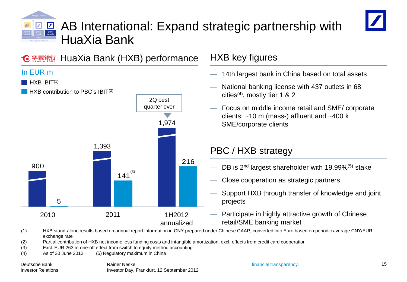# AB International: Expand strategic partnership with HuaXia Bank



#### HuaXia Bank (HXB) performance 华夏银行

### In EUR m

HXB IBIT<sup>(1)</sup>

HXB contribution to PBC's IBIT(2)



### HXB key figures

- 14th largest bank in China based on total assets
- National banking license with 437 outlets in 68 cities<sup>(4)</sup>, mostly tier 1 & 2
- Focus on middle income retail and SME/ corporate clients: ~10 m (mass-) affluent and ~400 k SME/corporate clients

### PBC / HXB strategy

- DB is 2<sup>nd</sup> largest shareholder with 19.99%<sup>(5)</sup> stake
- Close cooperation as strategic partners
- Support HXB through transfer of knowledge and joint projects
- Participate in highly attractive growth of Chinese retail/SME banking market

(1) HXB stand-alone results based on annual report information in CNY prepared under Chinese GAAP, converted into Euro based on periodic average CNY/EUR exchange rate

- (2) Partial contribution of HXB net income less funding costs and intangible amortization, excl. effects from credit card cooperation
- (3) Excl. EUR 263 m one-off effect from switch to equity method accounting
- (4) As of 30 June 2012 (5) Regulatory maximum in China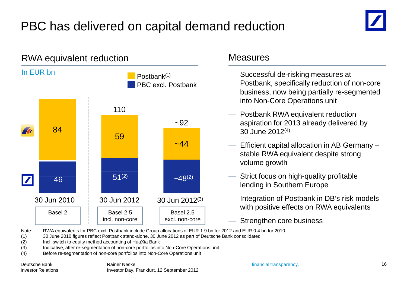## PBC has delivered on capital demand reduction

![](_page_15_Picture_1.jpeg)

![](_page_15_Figure_2.jpeg)

- Successful de-risking measures at Postbank, specifically reduction of non-core business, now being partially re-segmented into Non-Core Operations unit
- Postbank RWA equivalent reduction aspiration for 2013 already delivered by 30 June 2012(4)
- Efficient capital allocation in AB Germany stable RWA equivalent despite strong volume growth
- Strict focus on high-quality profitable lending in Southern Europe
- Integration of Postbank in DB's risk models with positive effects on RWA equivalents
- Strengthen core business

Note: RWA equivalents for PBC excl. Postbank include Group allocations of EUR 1.9 bn for 2012 and EUR 0.4 bn for 2010

(1) 30 June 2010 figures reflect Postbank stand-alone, 30 June 2012 as part of Deutsche Bank consolidated

- (2) Incl. switch to equity method accounting of HuaXia Bank
- (3) Indicative, after re-segmentation of non-core portfolios into Non-Core Operations unit
- (4) Before re-segmentation of non-core portfolios into Non-Core Operations unit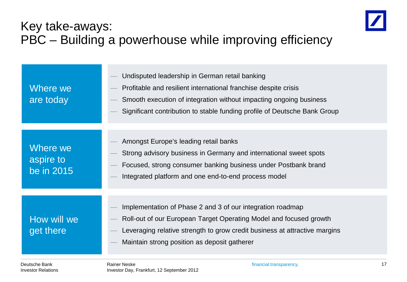## Key take-aways: PBC – Building a powerhouse while improving efficiency

![](_page_16_Picture_1.jpeg)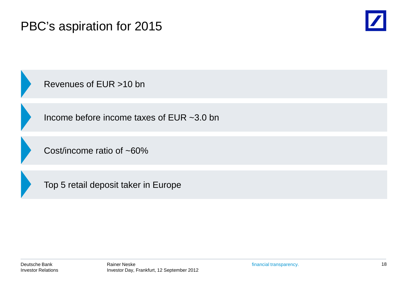## PBC's aspiration for 2015

![](_page_17_Picture_1.jpeg)

Revenues of EUR >10 bn

Income before income taxes of EUR ~3.0 bn

Cost/income ratio of ~60%

Top 5 retail deposit taker in Europe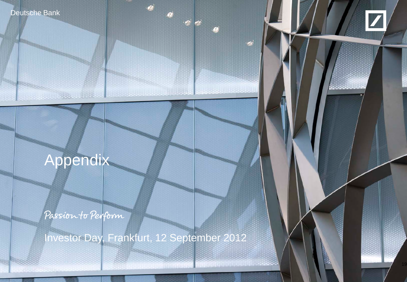![](_page_18_Picture_0.jpeg)

![](_page_18_Picture_1.jpeg)

19

# Appendix

**Maria Maria Maria Anglia** 

Passion to Perform

Investor Day, Frankfurt, 12 September 2012

 $\frac{1}{2}$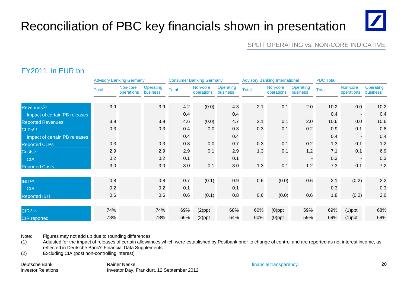## Reconciliation of PBC key financials shown in presentation

# $\mathbf{Z}$

#### SPLIT OPERATING vs. NON-CORE INDICATIVE

### FY2011, in EUR bn

|                               | <b>Advisory Banking Germany</b> |                        | <b>Consumer Banking Germany</b> |              |                        |                              | <b>Advisory Banking International</b> |                        | <b>PBC Total</b>      |              |                          |                              |
|-------------------------------|---------------------------------|------------------------|---------------------------------|--------------|------------------------|------------------------------|---------------------------------------|------------------------|-----------------------|--------------|--------------------------|------------------------------|
|                               | <b>Total</b>                    | Non-core<br>operations | Operating<br>business           | <b>Total</b> | Non-core<br>operations | <b>Operating</b><br>business | <b>Total</b>                          | Non-core<br>operations | Operating<br>business | <b>Total</b> | Non-core<br>operations   | <b>Operating</b><br>business |
| Revenues <sup>(1)</sup>       | 3.9                             |                        | 3.9                             | 4.2          | (0.0)                  | 4.3                          | 2.1                                   | 0.1                    | 2.0                   | 10.2         | 0.0                      | 10.2                         |
| Impact of certain PB releases |                                 |                        |                                 | 0.4          |                        | 0.4                          |                                       |                        |                       | 0.4          |                          | 0.4                          |
| <b>Reported Revenues</b>      | 3.9                             |                        | 3.9                             | 4.6          | (0.0)                  | 4.7                          | 2.1                                   | 0.1                    | 2.0                   | 10.6         | 0.0                      | 10.6                         |
| CLPs <sup>(1)</sup>           | 0.3                             |                        | 0.3                             | 0.4          | 0.0                    | 0.3                          | 0.3                                   | 0.1                    | 0.2                   | 0.9          | 0.1                      | 0.8                          |
| Impact of certain PB releases |                                 |                        |                                 | 0.4          |                        | 0.4                          |                                       |                        |                       | 0.4          | $\overline{\phantom{a}}$ | 0.4                          |
| <b>Reported CLPs</b>          | 0.3                             |                        | 0.3                             | 0.8          | 0.0                    | 0.7                          | 0.3                                   | 0.1                    | 0.2                   | 1.3          | 0.1                      | 1.2                          |
| Costs <sup>(2)</sup>          | 2.9                             |                        | 2.9                             | 2.9          | 0.1                    | 2.9                          | 1.3                                   | 0.1                    | 1.2                   | 7.1          | 0.1                      | 6.9                          |
| <b>CtA</b>                    | 0.2                             |                        | 0.2                             | 0.1          |                        | 0.1                          |                                       |                        |                       | 0.3          |                          | 0.3                          |
| <b>Reported Costs</b>         | 3.0                             |                        | 3.0                             | 3.0          | 0.1                    | 3.0                          | 1.3                                   | 0.1                    | 1.2                   | 7.3          | 0.1                      | 7.2                          |
|                               |                                 |                        |                                 |              |                        |                              |                                       |                        |                       |              |                          |                              |
| IBIT <sup>(2)</sup>           | 0.8                             |                        | 0.8                             | 0.7          | (0.1)                  | 0.9                          | 0.6                                   | (0.0)                  | 0.6                   | 2.1          | (0.2)                    | 2.2                          |
| <b>CtA</b>                    | 0.2                             |                        | 0.2                             | 0.1          |                        | 0.1                          |                                       |                        |                       | 0.3          |                          | 0.3                          |
| <b>Reported IBIT</b>          | 0.6                             |                        | 0.6                             | 0.6          | (0.1)                  | 0.8                          | 0.6                                   | (0.0)                  | 0.6                   | 1.8          | (0.2)                    | 2.0                          |
|                               | 74%                             |                        | 74%                             | 69%          |                        | 68%                          | 60%                                   |                        | 59%                   | 69%          |                          | 68%                          |
| $CIR^{(1)(2)}$                |                                 |                        |                                 |              | $(2)$ ppt              |                              |                                       | $(0)$ ppt              |                       |              | $(1)$ ppt                |                              |
| <b>CIR</b> reported           | 78%                             |                        | 78%                             | 66%          | $(2)$ ppt              | 64%                          | 60%                                   | $(0)$ ppt              | 59%                   | 69%          | $(1)$ ppt                | 68%                          |

Note: Figures may not add up due to rounding differences

(1) Adjusted for the impact of releases of certain allowances which were established by Postbank prior to change of control and are reported as net interest income, as reflected in Deutsche Bank's Financial Data Supplements

(2) Excluding CtA (post non-controlling interest)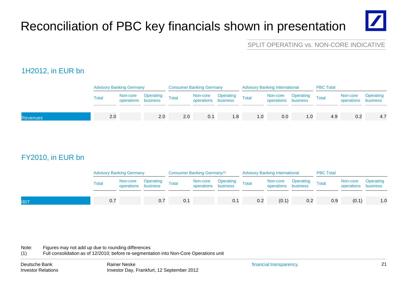## Reconciliation of PBC key financials shown in presentation

#### SPLIT OPERATING vs. NON-CORE INDICATIVE

### 1H2012, in EUR bn

| Non-core Operating<br>operations business<br>Operating<br>Non-core Operating Total<br>operations business Total<br>Non-core<br>Non-core Operating<br>operations business<br>Total<br>Total<br>Total<br>operations business | Operating |
|----------------------------------------------------------------------------------------------------------------------------------------------------------------------------------------------------------------------------|-----------|
|                                                                                                                                                                                                                            |           |
| 2.0<br>2.0<br>2.0<br>0.1<br>0.2<br>1.8<br>0.0<br>4.9<br>1.0<br>0. ا<br><b>Revenues</b>                                                                                                                                     | 4.7       |

### FY2010, in EUR bn

|             | <b>Advisory Banking Germany</b> |  |                                                       | Consumer Banking Germany <sup>(1)</sup> |  |                                           | <b>Advisory Banking International</b> |       |                                                       | <b>PBC Total</b> |                                 |           |
|-------------|---------------------------------|--|-------------------------------------------------------|-----------------------------------------|--|-------------------------------------------|---------------------------------------|-------|-------------------------------------------------------|------------------|---------------------------------|-----------|
|             | Total                           |  | Non-core Operating Total<br>operations business Total |                                         |  | Non-core Operating<br>operations business | Total                                 |       | Non-core Operating Total<br>operations business Total |                  | Non-core<br>operations business | Operating |
| <b>IBIT</b> | 0.7                             |  | 0.7                                                   | 0.1                                     |  | 0.1                                       | 0.2                                   | (0.1) |                                                       | 0.9              | (0.1)                           | 1.0       |

Note: Figures may not add up due to rounding differences

(1) Full consolidation as of 12/2010; before re-segmentation into Non-Core Operations unit

 $\mathbb{Z}$